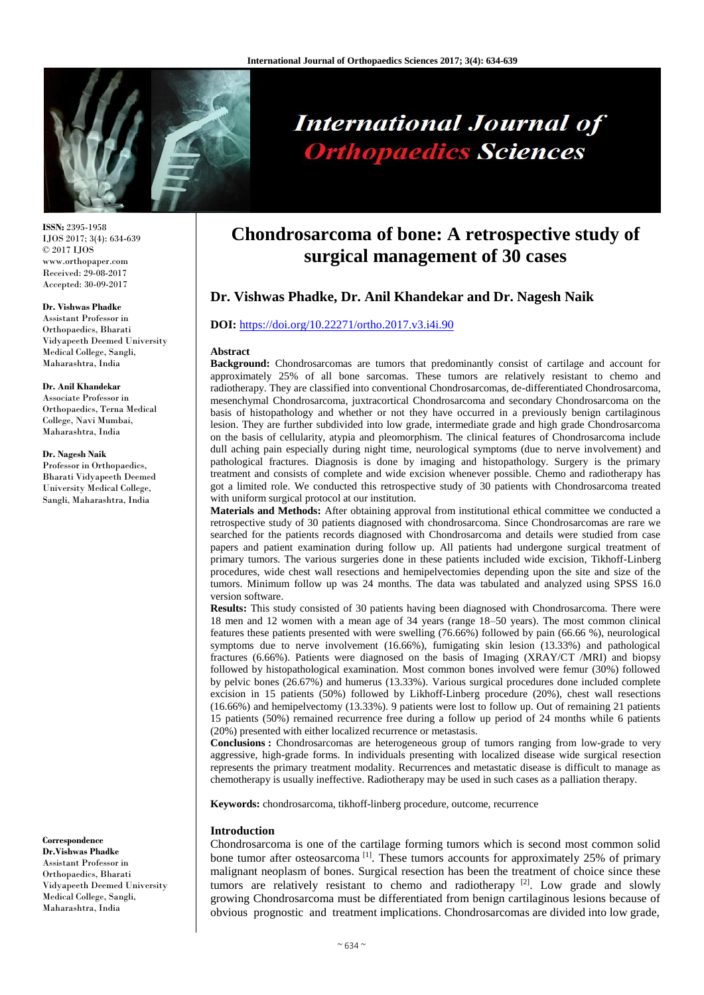

# **International Journal of Orthopaedics Sciences**

**ISSN:** 2395-1958 IJOS 2017; 3(4): 634-639 © 2017 IJOS www.orthopaper.com Received: 29-08-2017 Accepted: 30-09-2017

#### **Dr. Vishwas Phadke**

Assistant Professor in Orthopaedics, Bharati Vidyapeeth Deemed University Medical College, Sangli, Maharashtra, India

#### **Dr. Anil Khandekar**

Associate Professor in Orthopaedics, Terna Medical College, Navi Mumbai, Maharashtra, India

#### **Dr. Nagesh Naik**

Professor in Orthopaedics, Bharati Vidyapeeth Deemed University Medical College, Sangli, Maharashtra, India

**Correspondence Dr.Vishwas Phadke** Assistant Professor in Orthopaedics, Bharati Vidyapeeth Deemed University Medical College, Sangli, Maharashtra, India

# **Chondrosarcoma of bone: A retrospective study of surgical management of 30 cases**

# **Dr. Vishwas Phadke, Dr. Anil Khandekar and Dr. Nagesh Naik**

### **DOI:** <https://doi.org/10.22271/ortho.2017.v3.i4i.90>

#### **Abstract**

**Background:** Chondrosarcomas are tumors that predominantly consist of cartilage and account for approximately 25% of all bone sarcomas. These tumors are relatively resistant to chemo and radiotherapy. They are classified into conventional Chondrosarcomas, de-differentiated Chondrosarcoma, mesenchymal Chondrosarcoma, juxtracortical Chondrosarcoma and secondary Chondrosarcoma on the basis of histopathology and whether or not they have occurred in a previously benign cartilaginous lesion. They are further subdivided into low grade, intermediate grade and high grade Chondrosarcoma on the basis of cellularity, atypia and pleomorphism. The clinical features of Chondrosarcoma include dull aching pain especially during night time, neurological symptoms (due to nerve involvement) and pathological fractures. Diagnosis is done by imaging and histopathology. Surgery is the primary treatment and consists of complete and wide excision whenever possible. Chemo and radiotherapy has got a limited role. We conducted this retrospective study of 30 patients with Chondrosarcoma treated with uniform surgical protocol at our institution.

**Materials and Methods:** After obtaining approval from institutional ethical committee we conducted a retrospective study of 30 patients diagnosed with chondrosarcoma. Since Chondrosarcomas are rare we searched for the patients records diagnosed with Chondrosarcoma and details were studied from case papers and patient examination during follow up. All patients had undergone surgical treatment of primary tumors. The various surgeries done in these patients included wide excision, Tikhoff-Linberg procedures, wide chest wall resections and hemipelvectomies depending upon the site and size of the tumors. Minimum follow up was 24 months. The data was tabulated and analyzed using SPSS 16.0 version software.

**Results:** This study consisted of 30 patients having been diagnosed with Chondrosarcoma. There were 18 men and 12 women with a mean age of 34 years (range 18–50 years). The most common clinical features these patients presented with were swelling (76.66%) followed by pain (66.66 %), neurological symptoms due to nerve involvement (16.66%), fumigating skin lesion (13.33%) and pathological fractures (6.66%). Patients were diagnosed on the basis of Imaging (XRAY/CT /MRI) and biopsy followed by histopathological examination. Most common bones involved were femur (30%) followed by pelvic bones (26.67%) and humerus (13.33%). Various surgical procedures done included complete excision in 15 patients (50%) followed by Likhoff-Linberg procedure (20%), chest wall resections (16.66%) and hemipelvectomy (13.33%). 9 patients were lost to follow up. Out of remaining 21 patients 15 patients (50%) remained recurrence free during a follow up period of 24 months while 6 patients (20%) presented with either localized recurrence or metastasis.

**Conclusions :** Chondrosarcomas are heterogeneous group of tumors ranging from low-grade to very aggressive, high-grade forms. In individuals presenting with localized disease wide surgical resection represents the primary treatment modality. Recurrences and metastatic disease is difficult to manage as chemotherapy is usually ineffective. Radiotherapy may be used in such cases as a palliation therapy.

**Keywords:** chondrosarcoma, tikhoff-linberg procedure, outcome, recurrence

### **Introduction**

Chondrosarcoma is one of the cartilage forming tumors which is second most common solid bone tumor after osteosarcoma<sup>[1]</sup>. These tumors accounts for approximately 25% of primary malignant neoplasm of bones. Surgical resection has been the treatment of choice since these tumors are relatively resistant to chemo and radiotherapy  $[2]$ . Low grade and slowly growing Chondrosarcoma must be differentiated from benign cartilaginous lesions because of obvious prognostic and treatment implications. Chondrosarcomas are divided into low grade,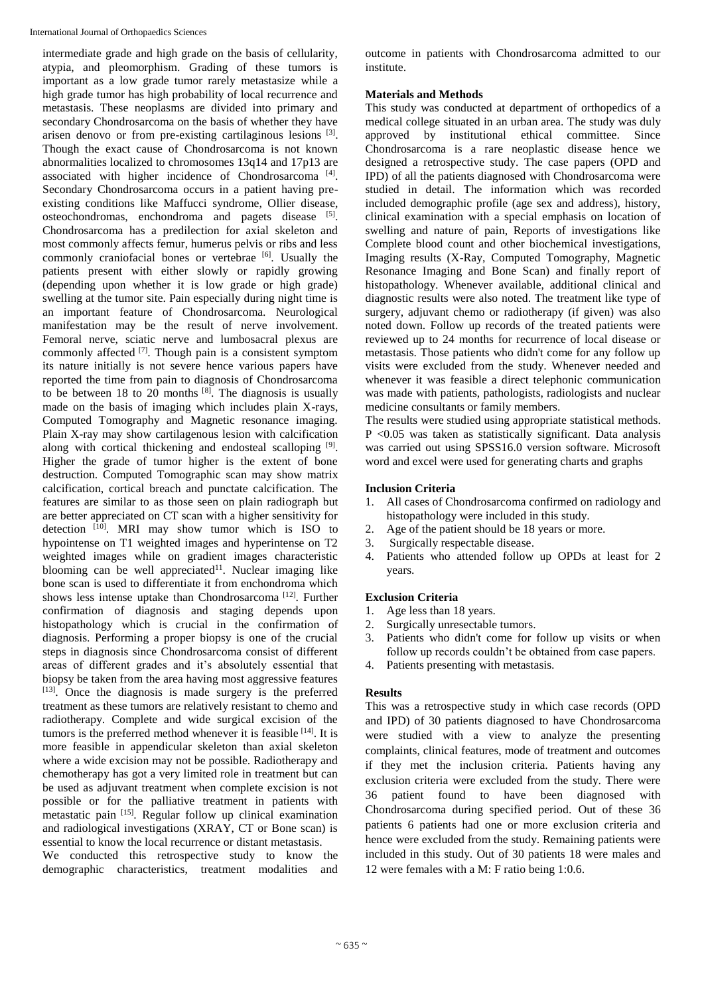intermediate grade and high grade on the basis of cellularity, atypia, and pleomorphism. Grading of these tumors is important as a low grade tumor rarely metastasize while a high grade tumor has high probability of local recurrence and metastasis. These neoplasms are divided into primary and secondary Chondrosarcoma on the basis of whether they have arisen denovo or from pre-existing cartilaginous lesions [3]. Though the exact cause of Chondrosarcoma is not known abnormalities localized to chromosomes 13q14 and 17p13 are associated with higher incidence of Chondrosarcoma<sup>[4]</sup>. Secondary Chondrosarcoma occurs in a patient having preexisting conditions like Maffucci syndrome, Ollier disease, osteochondromas, enchondroma and pagets disease [5]. Chondrosarcoma has a predilection for axial skeleton and most commonly affects femur, humerus pelvis or ribs and less commonly craniofacial bones or vertebrae [6]. Usually the patients present with either slowly or rapidly growing (depending upon whether it is low grade or high grade) swelling at the tumor site. Pain especially during night time is an important feature of Chondrosarcoma. Neurological manifestation may be the result of nerve involvement. Femoral nerve, sciatic nerve and lumbosacral plexus are commonly affected <sup>[7]</sup>. Though pain is a consistent symptom its nature initially is not severe hence various papers have reported the time from pain to diagnosis of Chondrosarcoma to be between 18 to 20 months  $[8]$ . The diagnosis is usually made on the basis of imaging which includes plain X-rays, Computed Tomography and Magnetic resonance imaging. Plain X-ray may show cartilagenous lesion with calcification along with cortical thickening and endosteal scalloping <sup>[9]</sup>. Higher the grade of tumor higher is the extent of bone destruction. Computed Tomographic scan may show matrix calcification, cortical breach and punctate calcification. The features are similar to as those seen on plain radiograph but are better appreciated on CT scan with a higher sensitivity for detection  $[10]$ . MRI may show tumor which is ISO to hypointense on T1 weighted images and hyperintense on T2 weighted images while on gradient images characteristic blooming can be well appreciated<sup>11</sup>. Nuclear imaging like bone scan is used to differentiate it from enchondroma which shows less intense uptake than Chondrosarcoma<sup>[12]</sup>. Further confirmation of diagnosis and staging depends upon histopathology which is crucial in the confirmation of diagnosis. Performing a proper biopsy is one of the crucial steps in diagnosis since Chondrosarcoma consist of different areas of different grades and it's absolutely essential that biopsy be taken from the area having most aggressive features [13]. Once the diagnosis is made surgery is the preferred treatment as these tumors are relatively resistant to chemo and radiotherapy. Complete and wide surgical excision of the tumors is the preferred method whenever it is feasible [14]. It is more feasible in appendicular skeleton than axial skeleton where a wide excision may not be possible. Radiotherapy and chemotherapy has got a very limited role in treatment but can be used as adjuvant treatment when complete excision is not possible or for the palliative treatment in patients with metastatic pain [15] . Regular follow up clinical examination and radiological investigations (XRAY, CT or Bone scan) is essential to know the local recurrence or distant metastasis.

We conducted this retrospective study to know the demographic characteristics, treatment modalities and outcome in patients with Chondrosarcoma admitted to our institute.

# **Materials and Methods**

This study was conducted at department of orthopedics of a medical college situated in an urban area. The study was duly approved by institutional ethical committee. Since Chondrosarcoma is a rare neoplastic disease hence we designed a retrospective study. The case papers (OPD and IPD) of all the patients diagnosed with Chondrosarcoma were studied in detail. The information which was recorded included demographic profile (age sex and address), history, clinical examination with a special emphasis on location of swelling and nature of pain, Reports of investigations like Complete blood count and other biochemical investigations, Imaging results (X-Ray, Computed Tomography, Magnetic Resonance Imaging and Bone Scan) and finally report of histopathology. Whenever available, additional clinical and diagnostic results were also noted. The treatment like type of surgery, adjuvant chemo or radiotherapy (if given) was also noted down. Follow up records of the treated patients were reviewed up to 24 months for recurrence of local disease or metastasis. Those patients who didn't come for any follow up visits were excluded from the study. Whenever needed and whenever it was feasible a direct telephonic communication was made with patients, pathologists, radiologists and nuclear medicine consultants or family members.

The results were studied using appropriate statistical methods. P <0.05 was taken as statistically significant. Data analysis was carried out using SPSS16.0 version software. Microsoft word and excel were used for generating charts and graphs

# **Inclusion Criteria**

- 1. All cases of Chondrosarcoma confirmed on radiology and histopathology were included in this study.
- 2. Age of the patient should be 18 years or more.
- 3. Surgically respectable disease.
- 4. Patients who attended follow up OPDs at least for 2 years.

# **Exclusion Criteria**

- 1. Age less than 18 years.
- 2. Surgically unresectable tumors.
- 3. Patients who didn't come for follow up visits or when follow up records couldn't be obtained from case papers.
- 4. Patients presenting with metastasis.

# **Results**

This was a retrospective study in which case records (OPD and IPD) of 30 patients diagnosed to have Chondrosarcoma were studied with a view to analyze the presenting complaints, clinical features, mode of treatment and outcomes if they met the inclusion criteria. Patients having any exclusion criteria were excluded from the study. There were 36 patient found to have been diagnosed with Chondrosarcoma during specified period. Out of these 36 patients 6 patients had one or more exclusion criteria and hence were excluded from the study. Remaining patients were included in this study. Out of 30 patients 18 were males and 12 were females with a M: F ratio being 1:0.6.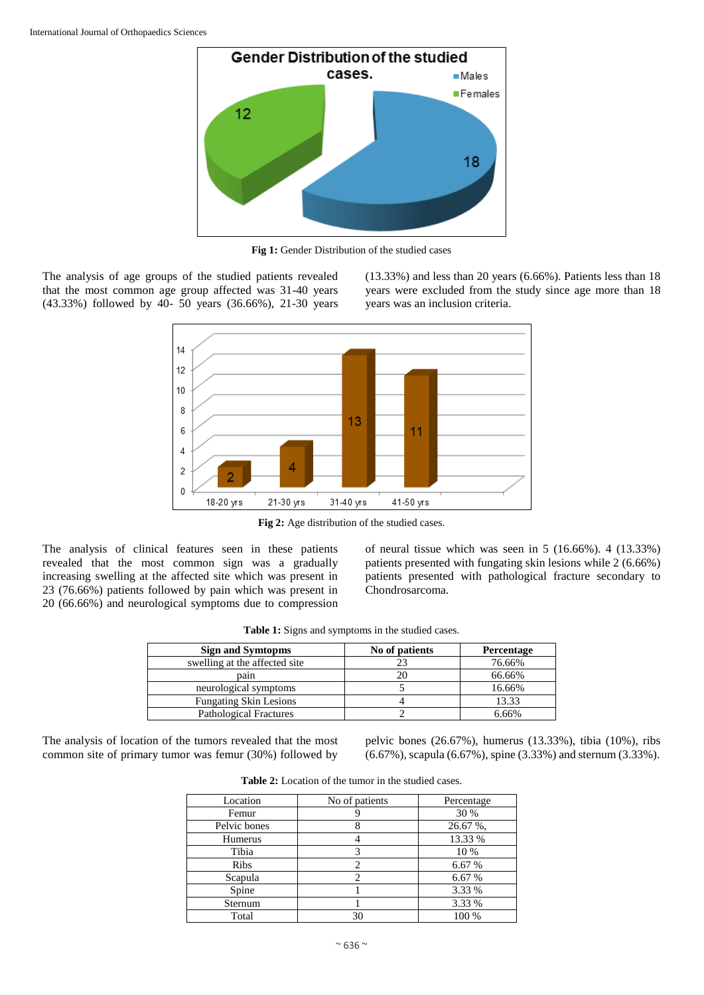

**Fig 1:** Gender Distribution of the studied cases

The analysis of age groups of the studied patients revealed that the most common age group affected was 31-40 years (43.33%) followed by 40- 50 years (36.66%), 21-30 years (13.33%) and less than 20 years (6.66%). Patients less than 18 years were excluded from the study since age more than 18 years was an inclusion criteria.



**Fig 2:** Age distribution of the studied cases.

The analysis of clinical features seen in these patients revealed that the most common sign was a gradually increasing swelling at the affected site which was present in 23 (76.66%) patients followed by pain which was present in 20 (66.66%) and neurological symptoms due to compression

of neural tissue which was seen in 5 (16.66%). 4 (13.33%) patients presented with fungating skin lesions while 2 (6.66%) patients presented with pathological fracture secondary to Chondrosarcoma.

| <b>Sign and Symtopms</b>      | No of patients | Percentage |
|-------------------------------|----------------|------------|
| swelling at the affected site |                | 76.66%     |
| pain                          |                | 66.66%     |
| neurological symptoms         |                | 16.66%     |
| <b>Fungating Skin Lesions</b> |                | 13.33      |
| <b>Pathological Fractures</b> |                | 6.66%      |

**Table 1:** Signs and symptoms in the studied cases.

The analysis of location of the tumors revealed that the most common site of primary tumor was femur (30%) followed by

pelvic bones (26.67%), humerus (13.33%), tibia (10%), ribs (6.67%), scapula (6.67%), spine (3.33%) and sternum (3.33%).

| Location     | No of patients | Percentage |
|--------------|----------------|------------|
| Femur        |                | 30 %       |
| Pelvic bones |                | 26.67 %,   |
| Humerus      |                | 13.33 %    |
| Tibia        |                | 10 %       |
| <b>Ribs</b>  |                | 6.67 %     |
| Scapula      |                | 6.67 %     |
| Spine        |                | 3.33 %     |
| Sternum      |                | 3.33 %     |
| Total        | 30             | 100 %      |

**Table 2:** Location of the tumor in the studied cases.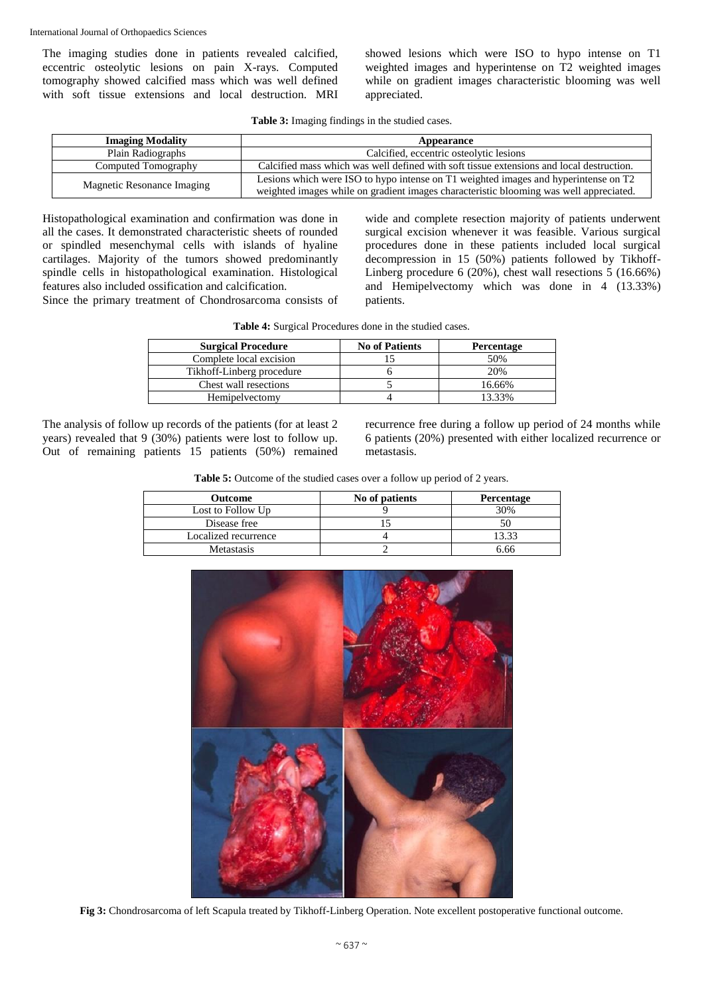The imaging studies done in patients revealed calcified, eccentric osteolytic lesions on pain X-rays. Computed tomography showed calcified mass which was well defined with soft tissue extensions and local destruction. MRI showed lesions which were ISO to hypo intense on T1 weighted images and hyperintense on T2 weighted images while on gradient images characteristic blooming was well appreciated.

**Table 3:** Imaging findings in the studied cases.

| <b>Imaging Modality</b>    | Appearance                                                                                                                                                                    |
|----------------------------|-------------------------------------------------------------------------------------------------------------------------------------------------------------------------------|
| Plain Radiographs          | Calcified, eccentric osteolytic lesions                                                                                                                                       |
| Computed Tomography        | Calcified mass which was well defined with soft tissue extensions and local destruction.                                                                                      |
| Magnetic Resonance Imaging | Lesions which were ISO to hypo intense on T1 weighted images and hyperintense on T2<br>weighted images while on gradient images characteristic blooming was well appreciated. |

Histopathological examination and confirmation was done in all the cases. It demonstrated characteristic sheets of rounded or spindled mesenchymal cells with islands of hyaline cartilages. Majority of the tumors showed predominantly spindle cells in histopathological examination. Histological features also included ossification and calcification.

Since the primary treatment of Chondrosarcoma consists of

wide and complete resection majority of patients underwent surgical excision whenever it was feasible. Various surgical procedures done in these patients included local surgical decompression in 15 (50%) patients followed by Tikhoff-Linberg procedure 6 (20%), chest wall resections 5 (16.66%) and Hemipelvectomy which was done in 4 (13.33%) patients.

| Table 4: Surgical Procedures done in the studied cases. |  |  |  |  |  |
|---------------------------------------------------------|--|--|--|--|--|
|---------------------------------------------------------|--|--|--|--|--|

| <b>Surgical Procedure</b> | <b>No of Patients</b> | Percentage |
|---------------------------|-----------------------|------------|
| Complete local excision   |                       | 50%        |
| Tikhoff-Linberg procedure |                       | 20%        |
| Chest wall resections     |                       | 16.66%     |
| Hemipelyectomy            |                       | 13.33%     |

The analysis of follow up records of the patients (for at least 2 years) revealed that 9 (30%) patients were lost to follow up. Out of remaining patients 15 patients (50%) remained recurrence free during a follow up period of 24 months while 6 patients (20%) presented with either localized recurrence or metastasis.

| Table 5: Outcome of the studied cases over a follow up period of 2 years. |  |  |
|---------------------------------------------------------------------------|--|--|
|---------------------------------------------------------------------------|--|--|

| Outcome              | No of patients | <b>Percentage</b> |
|----------------------|----------------|-------------------|
| Lost to Follow Up    |                | 30%               |
| Disease free         |                |                   |
| Localized recurrence |                | 13.33             |
| <b>Metastasis</b>    |                | 6.66              |



**Fig 3:** Chondrosarcoma of left Scapula treated by Tikhoff-Linberg Operation. Note excellent postoperative functional outcome.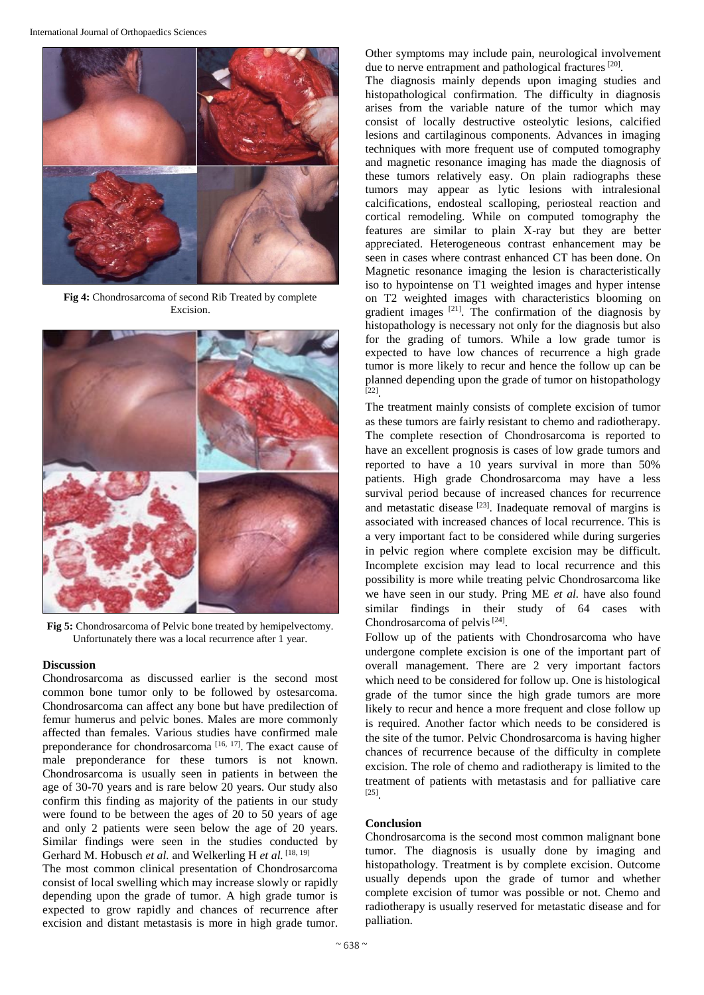

**Fig 4:** Chondrosarcoma of second Rib Treated by complete Excision.



**Fig 5:** Chondrosarcoma of Pelvic bone treated by hemipelvectomy. Unfortunately there was a local recurrence after 1 year.

#### **Discussion**

Chondrosarcoma as discussed earlier is the second most common bone tumor only to be followed by ostesarcoma. Chondrosarcoma can affect any bone but have predilection of femur humerus and pelvic bones. Males are more commonly affected than females. Various studies have confirmed male preponderance for chondrosarcoma<sup>[16, 17]</sup>. The exact cause of male preponderance for these tumors is not known. Chondrosarcoma is usually seen in patients in between the age of 30-70 years and is rare below 20 years. Our study also confirm this finding as majority of the patients in our study were found to be between the ages of 20 to 50 years of age and only 2 patients were seen below the age of 20 years. Similar findings were seen in the studies conducted by Gerhard M. Hobusch *et al.* and Welkerling H *et al.* [18, 19]

The most common clinical presentation of Chondrosarcoma consist of local swelling which may increase slowly or rapidly depending upon the grade of tumor. A high grade tumor is expected to grow rapidly and chances of recurrence after excision and distant metastasis is more in high grade tumor.

Other symptoms may include pain, neurological involvement due to nerve entrapment and pathological fractures<sup>[20]</sup>.

The diagnosis mainly depends upon imaging studies and histopathological confirmation. The difficulty in diagnosis arises from the variable nature of the tumor which may consist of locally destructive osteolytic lesions, calcified lesions and cartilaginous components. Advances in imaging techniques with more frequent use of computed tomography and magnetic resonance imaging has made the diagnosis of these tumors relatively easy. On plain radiographs these tumors may appear as lytic lesions with intralesional calcifications, endosteal scalloping, periosteal reaction and cortical remodeling. While on computed tomography the features are similar to plain X-ray but they are better appreciated. Heterogeneous contrast enhancement may be seen in cases where contrast enhanced CT has been done. On Magnetic resonance imaging the lesion is characteristically iso to hypointense on T1 weighted images and hyper intense on T2 weighted images with characteristics blooming on gradient images  $[21]$ . The confirmation of the diagnosis by histopathology is necessary not only for the diagnosis but also for the grading of tumors. While a low grade tumor is expected to have low chances of recurrence a high grade tumor is more likely to recur and hence the follow up can be planned depending upon the grade of tumor on histopathology [22] .

The treatment mainly consists of complete excision of tumor as these tumors are fairly resistant to chemo and radiotherapy. The complete resection of Chondrosarcoma is reported to have an excellent prognosis is cases of low grade tumors and reported to have a 10 years survival in more than 50% patients. High grade Chondrosarcoma may have a less survival period because of increased chances for recurrence and metastatic disease <sup>[23]</sup>. Inadequate removal of margins is associated with increased chances of local recurrence. This is a very important fact to be considered while during surgeries in pelvic region where complete excision may be difficult. Incomplete excision may lead to local recurrence and this possibility is more while treating pelvic Chondrosarcoma like we have seen in our study. Pring ME *et al.* have also found similar findings in their study of 64 cases with Chondrosarcoma of pelvis<sup>[24]</sup>.

Follow up of the patients with Chondrosarcoma who have undergone complete excision is one of the important part of overall management. There are 2 very important factors which need to be considered for follow up. One is histological grade of the tumor since the high grade tumors are more likely to recur and hence a more frequent and close follow up is required. Another factor which needs to be considered is the site of the tumor. Pelvic Chondrosarcoma is having higher chances of recurrence because of the difficulty in complete excision. The role of chemo and radiotherapy is limited to the treatment of patients with metastasis and for palliative care [25] .

# **Conclusion**

Chondrosarcoma is the second most common malignant bone tumor. The diagnosis is usually done by imaging and histopathology. Treatment is by complete excision. Outcome usually depends upon the grade of tumor and whether complete excision of tumor was possible or not. Chemo and radiotherapy is usually reserved for metastatic disease and for palliation.